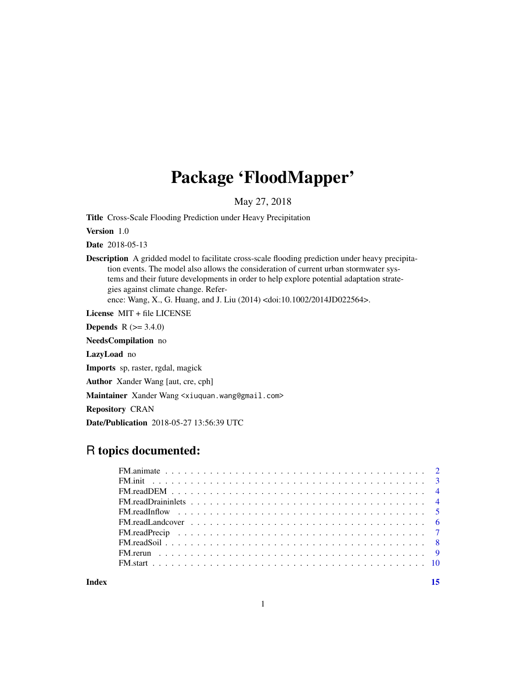## Package 'FloodMapper'

May 27, 2018

Title Cross-Scale Flooding Prediction under Heavy Precipitation

Version 1.0

Date 2018-05-13

Description A gridded model to facilitate cross-scale flooding prediction under heavy precipitation events. The model also allows the consideration of current urban stormwater systems and their future developments in order to help explore potential adaptation strategies against climate change. Reference: Wang, X., G. Huang, and J. Liu (2014) <doi:10.1002/2014JD022564>.

License MIT + file LICENSE

**Depends** R  $(>= 3.4.0)$ 

NeedsCompilation no

LazyLoad no

Imports sp, raster, rgdal, magick

Author Xander Wang [aut, cre, cph]

Maintainer Xander Wang <xiuquan.wang@gmail.com>

Repository CRAN

Date/Publication 2018-05-27 13:56:39 UTC

### R topics documented:

**Index** [15](#page-14-0)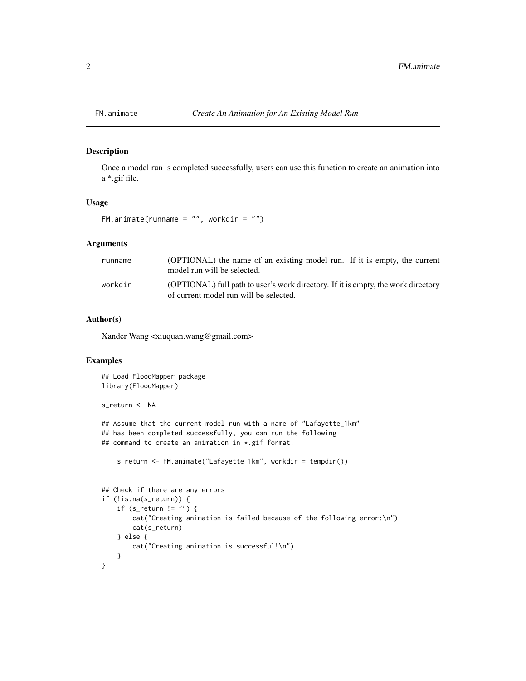Once a model run is completed successfully, users can use this function to create an animation into a \*.gif file.

#### Usage

```
FM.animate(runname = ", workdir = ")
```
#### Arguments

| runname | (OPTIONAL) the name of an existing model run. If it is empty, the current<br>model run will be selected.                    |
|---------|-----------------------------------------------------------------------------------------------------------------------------|
| workdir | (OPTIONAL) full path to user's work directory. If it is empty, the work directory<br>of current model run will be selected. |

#### Author(s)

Xander Wang <xiuquan.wang@gmail.com>

```
## Load FloodMapper package
library(FloodMapper)
s_return <- NA
## Assume that the current model run with a name of "Lafayette_1km"
## has been completed successfully, you can run the following
## command to create an animation in *.gif format.
    s_return <- FM.animate("Lafayette_1km", workdir = tempdir())
## Check if there are any errors
if (!is.na(s_return)) {
    if (s_return != "") {
       cat("Creating animation is failed because of the following error:\n")
       cat(s_return)
   } else {
       cat("Creating animation is successful!\n")
    }
}
```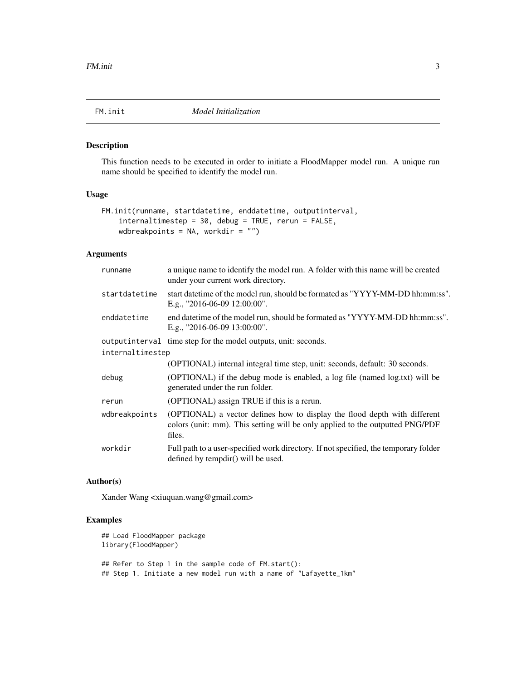<span id="page-2-0"></span>

This function needs to be executed in order to initiate a FloodMapper model run. A unique run name should be specified to identify the model run.

#### Usage

```
FM.init(runname, startdatetime, enddatetime, outputinterval,
    internaltimestep = 30, debug = TRUE, rerun = FALSE,
    wdbreakpoints = NA, workdir = "")
```
#### Arguments

| runname          | a unique name to identify the model run. A folder with this name will be created<br>under your current work directory.                                               |
|------------------|----------------------------------------------------------------------------------------------------------------------------------------------------------------------|
| startdatetime    | start date time of the model run, should be formated as "YYYY-MM-DD hh:mm:ss".<br>E.g., "2016-06-09 12:00:00".                                                       |
| enddatetime      | end date time of the model run, should be formated as "YYYY-MM-DD hh:mm:ss".<br>E.g., "2016-06-09 13:00:00".                                                         |
|                  | output interval time step for the model outputs, unit: seconds.                                                                                                      |
| internaltimestep |                                                                                                                                                                      |
|                  | (OPTIONAL) internal integral time step, unit: seconds, default: 30 seconds.                                                                                          |
| debug            | (OPTIONAL) if the debug mode is enabled, a log file (named log.txt) will be<br>generated under the run folder.                                                       |
| rerun            | (OPTIONAL) assign TRUE if this is a rerun.                                                                                                                           |
| wdbreakpoints    | (OPTIONAL) a vector defines how to display the flood depth with different<br>colors (unit: mm). This setting will be only applied to the outputted PNG/PDF<br>files. |
| workdir          | Full path to a user-specified work directory. If not specified, the temporary folder<br>defined by tempdir() will be used.                                           |

#### Author(s)

Xander Wang <xiuquan.wang@gmail.com>

```
## Load FloodMapper package
library(FloodMapper)
## Refer to Step 1 in the sample code of FM.start():
## Step 1. Initiate a new model run with a name of "Lafayette_1km"
```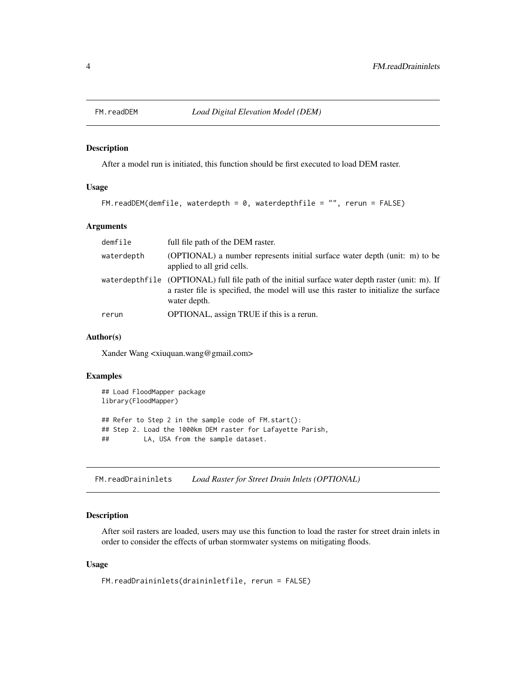<span id="page-3-0"></span>

After a model run is initiated, this function should be first executed to load DEM raster.

#### Usage

```
FM.readDEM(demfile, waterdepth = 0, waterdepthfile = "", rerun = FALSE)
```
#### Arguments

| demfile    | full file path of the DEM raster.                                                                                                                                                                        |
|------------|----------------------------------------------------------------------------------------------------------------------------------------------------------------------------------------------------------|
| waterdepth | (OPTIONAL) a number represents initial surface water depth (unit: m) to be<br>applied to all grid cells.                                                                                                 |
|            | waterdepthfile (OPTIONAL) full file path of the initial surface water depth raster (unit: m). If<br>a raster file is specified, the model will use this raster to initialize the surface<br>water depth. |
| rerun      | OPTIONAL, assign TRUE if this is a rerun.                                                                                                                                                                |

#### Author(s)

Xander Wang <xiuquan.wang@gmail.com>

#### Examples

```
## Load FloodMapper package
library(FloodMapper)
## Refer to Step 2 in the sample code of FM.start():
## Step 2. Load the 1000km DEM raster for Lafayette Parish,
## LA, USA from the sample dataset.
```
FM.readDraininlets *Load Raster for Street Drain Inlets (OPTIONAL)*

#### Description

After soil rasters are loaded, users may use this function to load the raster for street drain inlets in order to consider the effects of urban stormwater systems on mitigating floods.

#### Usage

```
FM.readDraininlets(draininletfile, rerun = FALSE)
```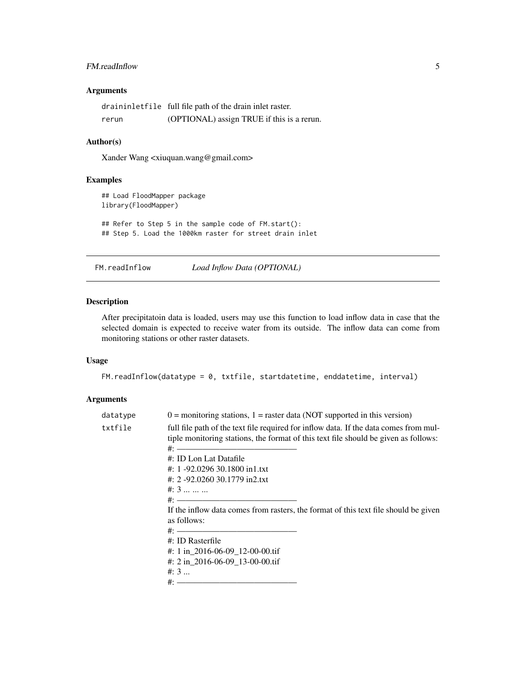#### <span id="page-4-0"></span>FM.readInflow 5

#### Arguments

|       | draininletfile full file path of the drain inlet raster. |
|-------|----------------------------------------------------------|
| rerun | (OPTIONAL) assign TRUE if this is a rerun.               |

#### Author(s)

Xander Wang <xiuquan.wang@gmail.com>

#### Examples

```
## Load FloodMapper package
library(FloodMapper)
## Refer to Step 5 in the sample code of FM.start():
## Step 5. Load the 1000km raster for street drain inlet
```
FM.readInflow *Load Inflow Data (OPTIONAL)*

#### Description

After precipitatoin data is loaded, users may use this function to load inflow data in case that the selected domain is expected to receive water from its outside. The inflow data can come from monitoring stations or other raster datasets.

#### Usage

```
FM.readInflow(datatype = 0, txtfile, startdatetime, enddatetime, interval)
```
#### Arguments

| $0 =$ monitoring stations, $1 =$ raster data (NOT supported in this version)                                                                                                                                      |
|-------------------------------------------------------------------------------------------------------------------------------------------------------------------------------------------------------------------|
| full file path of the text file required for inflow data. If the data comes from mul-<br>tiple monitoring stations, the format of this text file should be given as follows:<br>$\#:$ —<br>#: ID Lon Lat Datafile |
| #: 1 -92.0296 30.1800 in1.txt                                                                                                                                                                                     |
| #: 2 -92.0260 30.1779 in2.txt                                                                                                                                                                                     |
| $\#: 3 \dots \dots$                                                                                                                                                                                               |
|                                                                                                                                                                                                                   |
| If the inflow data comes from rasters, the format of this text file should be given<br>as follows:                                                                                                                |
|                                                                                                                                                                                                                   |
| $\#$ : ID Rasterfile                                                                                                                                                                                              |
| #: 1 in $2016-06-09$ 12-00-00.tif                                                                                                                                                                                 |
| #: 2 in 2016-06-09 13-00-00.tif                                                                                                                                                                                   |
| $\#: 3$                                                                                                                                                                                                           |
|                                                                                                                                                                                                                   |
|                                                                                                                                                                                                                   |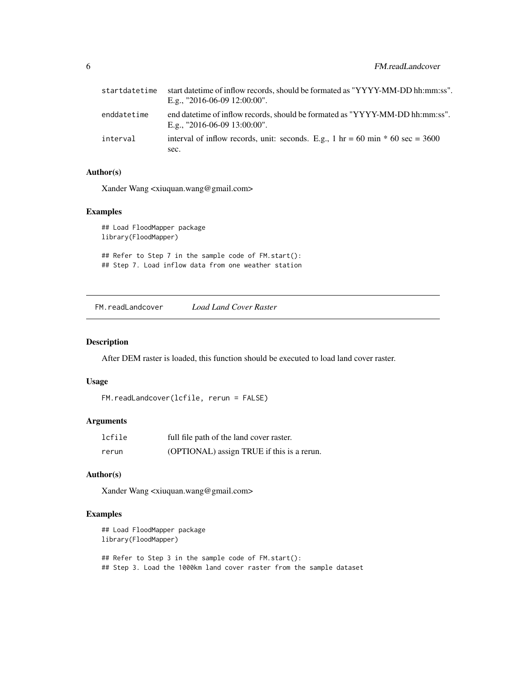<span id="page-5-0"></span>

| startdatetime | start date time of inflow records, should be formated as "YYYY-MM-DD hh:mm:ss".<br>E.g., "2016-06-09 12:00:00". |
|---------------|-----------------------------------------------------------------------------------------------------------------|
| enddatetime   | end datetime of inflow records, should be formated as "YYYY-MM-DD hh:mm:ss".<br>E.g., "2016-06-09 13:00:00".    |
| interval      | interval of inflow records, unit: seconds. E.g., 1 hr = 60 min $*$ 60 sec = 3600                                |
|               | sec.                                                                                                            |

#### Author(s)

Xander Wang <xiuquan.wang@gmail.com>

#### Examples

## Load FloodMapper package library(FloodMapper)

## Refer to Step 7 in the sample code of FM.start(): ## Step 7. Load inflow data from one weather station

FM.readLandcover *Load Land Cover Raster*

#### Description

After DEM raster is loaded, this function should be executed to load land cover raster.

#### Usage

```
FM.readLandcover(lcfile, rerun = FALSE)
```
#### Arguments

| lcfile | full file path of the land cover raster.   |
|--------|--------------------------------------------|
| rerun  | (OPTIONAL) assign TRUE if this is a rerun. |

#### Author(s)

Xander Wang <xiuquan.wang@gmail.com>

```
## Load FloodMapper package
library(FloodMapper)
## Refer to Step 3 in the sample code of FM.start():
## Step 3. Load the 1000km land cover raster from the sample dataset
```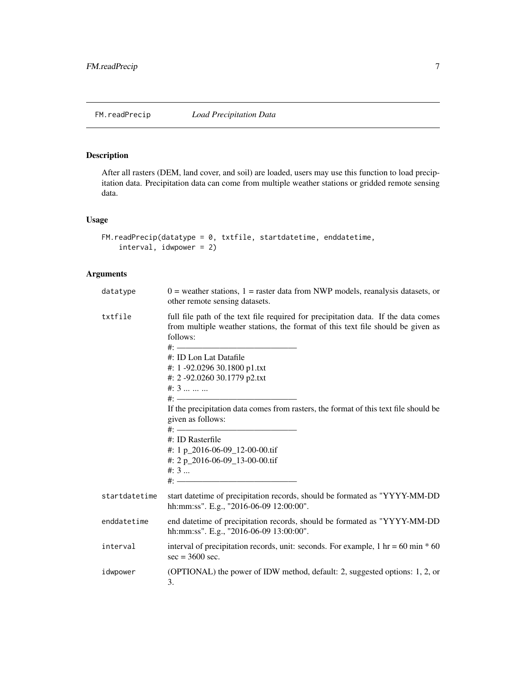<span id="page-6-0"></span>

After all rasters (DEM, land cover, and soil) are loaded, users may use this function to load precipitation data. Precipitation data can come from multiple weather stations or gridded remote sensing data.

#### Usage

```
FM.readPrecip(datatype = 0, txtfile, startdatetime, enddatetime,
    interval, idwpower = 2)
```
#### Arguments

| datatype      | $0$ = weather stations, 1 = raster data from NWP models, reanalysis datasets, or<br>other remote sensing datasets.                                                                                                                                                                                                                                                                                                                                                                                                    |  |
|---------------|-----------------------------------------------------------------------------------------------------------------------------------------------------------------------------------------------------------------------------------------------------------------------------------------------------------------------------------------------------------------------------------------------------------------------------------------------------------------------------------------------------------------------|--|
| txtfile       | full file path of the text file required for precipitation data. If the data comes<br>from multiple weather stations, the format of this text file should be given as<br>follows:<br>#: ID Lon Lat Datafile<br>#: 1 -92.0296 30.1800 p1.txt<br>#: 2 -92.0260 30.1779 p2.txt<br>#: $3$<br>$\#$ : —————<br>If the precipitation data comes from rasters, the format of this text file should be<br>given as follows:<br>#: ID Rasterfile<br>#: 1 p_2016-06-09_12-00-00.tif<br>#: 2 p_2016-06-09_13-00-00.tif<br>$\#: 3$ |  |
| startdatetime | start datetime of precipitation records, should be formated as "YYYY-MM-DD<br>hh:mm:ss". E.g., "2016-06-09 12:00:00".                                                                                                                                                                                                                                                                                                                                                                                                 |  |
| enddatetime   | end datetime of precipitation records, should be formated as "YYYY-MM-DD<br>hh:mm:ss". E.g., "2016-06-09 13:00:00".                                                                                                                                                                                                                                                                                                                                                                                                   |  |
| interval      | interval of precipitation records, unit: seconds. For example, $1 \text{ hr} = 60 \text{ min} * 60$<br>$sec = 3600 sec.$                                                                                                                                                                                                                                                                                                                                                                                              |  |
| idwpower      | (OPTIONAL) the power of IDW method, default: 2, suggested options: 1, 2, or<br>3.                                                                                                                                                                                                                                                                                                                                                                                                                                     |  |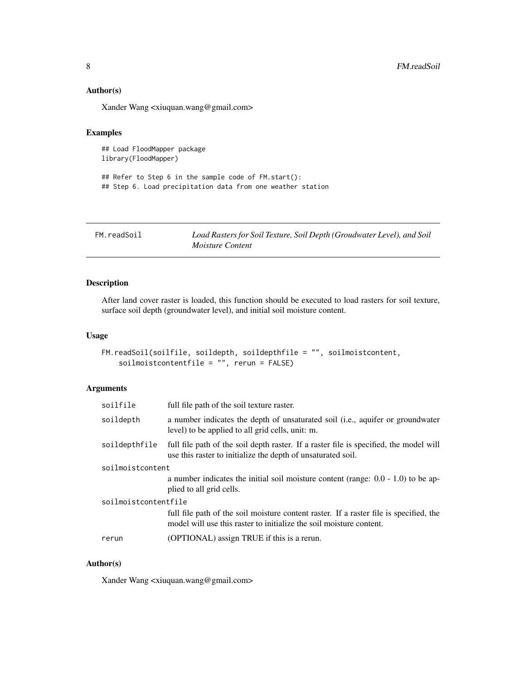#### <span id="page-7-0"></span>Author(s)

Xander Wang <xiuquan.wang@gmail.com>

#### Examples

## Load FloodMapper package library(FloodMapper)

## Refer to Step 6 in the sample code of FM.start(): ## Step 6. Load precipitation data from one weather station

FM.readSoil *Load Rasters for Soil Texture, Soil Depth (Groudwater Level), and Soil Moisture Content*

#### Description

After land cover raster is loaded, this function should be executed to load rasters for soil texture, surface soil depth (groundwater level), and initial soil moisture content.

#### Usage

```
FM.readSoil(soilfile, soildepth, soildepthfile = "", soilmoistcontent,
    soilmoistcontentfile = "", rerun = FALSE)
```
#### Arguments

| soilfile             | full file path of the soil texture raster.                                                                                                                    |  |
|----------------------|---------------------------------------------------------------------------------------------------------------------------------------------------------------|--|
| soildepth            | a number indicates the depth of unsaturated soil (i.e., aquifer or groundwater<br>level) to be applied to all grid cells, unit: m.                            |  |
| soildepthfile        | full file path of the soil depth raster. If a raster file is specified, the model will<br>use this raster to initialize the depth of unsaturated soil.        |  |
| soilmoistcontent     |                                                                                                                                                               |  |
|                      | a number indicates the initial soil moisture content (range: $0.0 - 1.0$ ) to be ap-<br>plied to all grid cells.                                              |  |
| soilmoistcontentfile |                                                                                                                                                               |  |
|                      | full file path of the soil moisture content raster. If a raster file is specified, the<br>model will use this raster to initialize the soil moisture content. |  |
| rerun                | (OPTIONAL) assign TRUE if this is a rerun.                                                                                                                    |  |
|                      |                                                                                                                                                               |  |

#### Author(s)

Xander Wang <xiuquan.wang@gmail.com>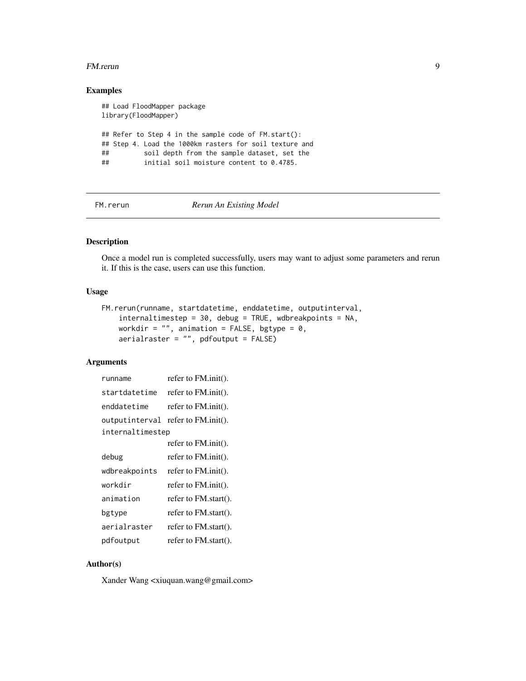#### <span id="page-8-0"></span>FM.rerun 99

#### Examples

```
## Load FloodMapper package
library(FloodMapper)
## Refer to Step 4 in the sample code of FM.start():
## Step 4. Load the 1000km rasters for soil texture and
## soil depth from the sample dataset, set the
## initial soil moisture content to 0.4785.
```
FM.rerun *Rerun An Existing Model*

#### Description

Once a model run is completed successfully, users may want to adjust some parameters and rerun it. If this is the case, users can use this function.

#### Usage

```
FM.rerun(runname, startdatetime, enddatetime, outputinterval,
    internaltimestep = 30, debug = TRUE, wdbreakpoints = NA,
   workdir = "", animation = FALSE, bgtype = \theta,
    aerialraster = "", pdfoutput = FALSE)
```
#### Arguments

| runname          | refer to $FM$ .init().             |
|------------------|------------------------------------|
| startdatetime    | refer to FM.init().                |
| enddatetime      | refer to $FM$ .init().             |
|                  | outputinterval refer to FM.init(). |
| internaltimestep |                                    |
|                  | refer to $FM$ .init().             |
| debug            | refer to $FM$ .init().             |
| wdbreakpoints    | refer to $FM$ .init().             |
| workdir          | refer to FM.init().                |
| animation        | refer to $FM.start()$ .            |
| bgtype           | refer to FM.start().               |
| aerialraster     | refer to $FM.start()$ .            |
| pdfoutput        | refer to FM.start().               |

#### Author(s)

Xander Wang <xiuquan.wang@gmail.com>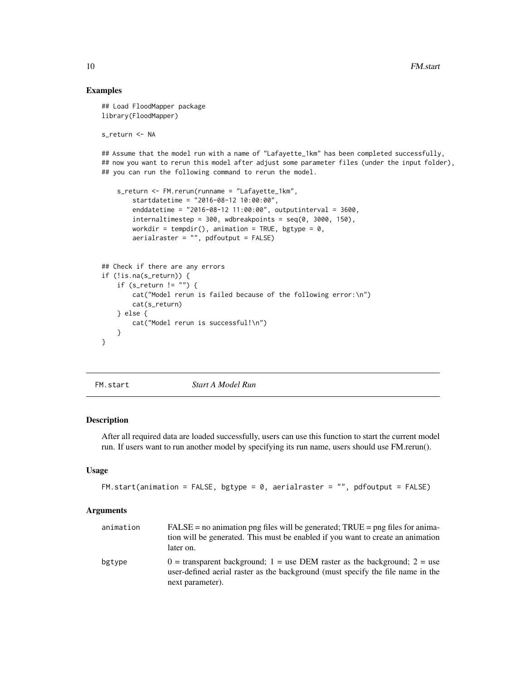#### Examples

```
## Load FloodMapper package
library(FloodMapper)
s_return <- NA
## Assume that the model run with a name of "Lafayette_1km" has been completed successfully,
## now you want to rerun this model after adjust some parameter files (under the input folder),
## you can run the following command to rerun the model.
    s_return <- FM.rerun(runname = "Lafayette_1km",
        startdatetime = "2016-08-12 10:00:00",
        enddatetime = "2016-08-12 11:00:00", outputinterval = 3600,
        internaltimestep = 300, wdbreakpoints = seq(0, 3000, 150),
        workdir = tempdir(), animation = TRUE, bgtype = 0,
        aerialraster = "", pdfoutput = FALSE)## Check if there are any errors
if (!is.na(s_return)) {
    if (s_return != "") {
        cat("Model rerun is failed because of the following error:\n")
        cat(s_return)
    } else {
        cat("Model rerun is successful!\n")
    }
}
```
FM.start *Start A Model Run*

#### Description

After all required data are loaded successfully, users can use this function to start the current model run. If users want to run another model by specifying its run name, users should use FM.rerun().

#### Usage

```
FM.start(animation = FALSE, bgtype = 0, aerialraster = "", pdfoutput = FALSE)
```
#### Arguments

| animation | $FALSE = no$ animation png files will be generated; $TRUE = png$ files for anima-<br>tion will be generated. This must be enabled if you want to create an animation<br>later on.  |
|-----------|------------------------------------------------------------------------------------------------------------------------------------------------------------------------------------|
| bgtype    | $0 =$ transparent background; 1 = use DEM raster as the background; 2 = use<br>user-defined aerial raster as the background (must specify the file name in the<br>next parameter). |

<span id="page-9-0"></span>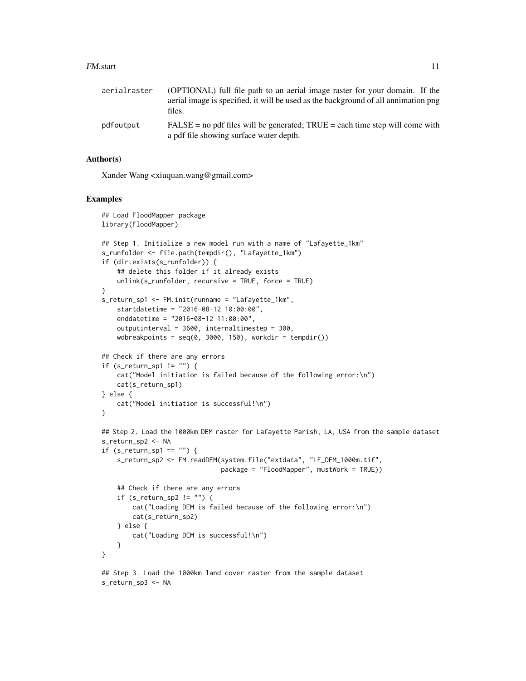#### FM.start 11

| aerialraster | (OPTIONAL) full file path to an aerial image raster for your domain. If the<br>aerial image is specified, it will be used as the background of all annimation png<br>files. |
|--------------|-----------------------------------------------------------------------------------------------------------------------------------------------------------------------------|
| pdfoutput    | $FALSE = no pdf files will be generated; TRUE = each time step will come with$<br>a pdf file showing surface water depth.                                                   |

#### Author(s)

Xander Wang <xiuquan.wang@gmail.com>

```
## Load FloodMapper package
library(FloodMapper)
## Step 1. Initialize a new model run with a name of "Lafayette_1km"
s_runfolder <- file.path(tempdir(), "Lafayette_1km")
if (dir.exists(s_runfolder)) {
    ## delete this folder if it already exists
    unlink(s_runfolder, recursive = TRUE, force = TRUE)
}
s_return_sp1 <- FM.init(runname = "Lafayette_1km",
    startdatetime = "2016-08-12 10:00:00",
    enddatetime = "2016-08-12 11:00:00",
    outputinterval = 3600, internaltimestep = 300,
   wdbreakpoints = seq(0, 3000, 150), workdir = tempdir())
## Check if there are any errors
if (s_{return_sp1} != "") {
   cat("Model initiation is failed because of the following error:\n")
    cat(s_return_sp1)
} else {
    cat("Model initiation is successful!\n")
}
## Step 2. Load the 1000km DEM raster for Lafayette Parish, LA, USA from the sample dataset
s_return_sp2 <- NA
if (s_{return_sp1} == "") {
    s_return_sp2 <- FM.readDEM(system.file("extdata", "LF_DEM_1000m.tif",
                               package = "FloodMapper", mustWork = TRUE))
    ## Check if there are any errors
    if (s_return_sp2 != "") {
        cat("Loading DEM is failed because of the following error:\n")
        cat(s_return_sp2)
    } else {
        cat("Loading DEM is successful!\n")
   }
}
## Step 3. Load the 1000km land cover raster from the sample dataset
s_return_sp3 <- NA
```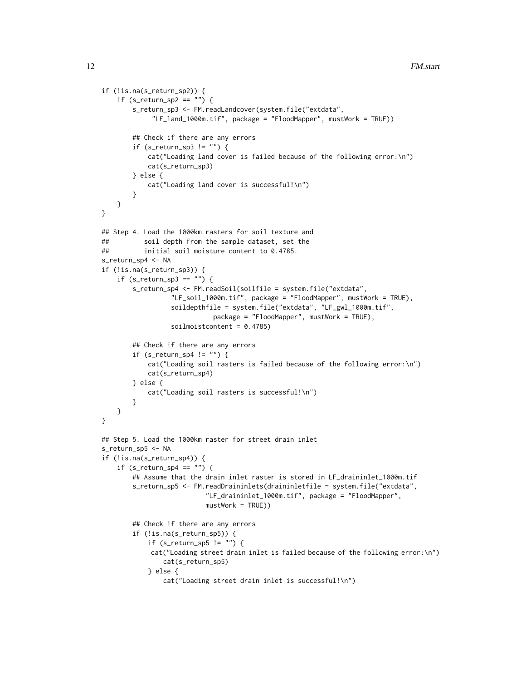```
if (!is.na(s_return_sp2)) {
    if (s_{return_sp2 == "") {
       s_return_sp3 <- FM.readLandcover(system.file("extdata",
             "LF_land_1000m.tif", package = "FloodMapper", mustWork = TRUE))
       ## Check if there are any errors
        if (s_return_sp3 != "") {
           cat("Loading land cover is failed because of the following error:\n")
           cat(s_return_sp3)
       } else {
           cat("Loading land cover is successful!\n")
        }
   }
}
## Step 4. Load the 1000km rasters for soil texture and
## soil depth from the sample dataset, set the
## initial soil moisture content to 0.4785.
s_return_sp4 <- NA
if (!is.na(s_return_sp3)) {
    if (s_{return_sp3 == "") {
       s_return_sp4 <- FM.readSoil(soilfile = system.file("extdata",
                  "LF_soil_1000m.tif", package = "FloodMapper", mustWork = TRUE),
                  soildepthfile = system.file("extdata", "LF_gwl_1000m.tif",
                            package = "FloodMapper", mustWork = TRUE),
                  soilmoistcontent = 0.4785)
        ## Check if there are any errors
       if (s_return_sp4 != "") {
           cat("Loading soil rasters is failed because of the following error:\n")
           cat(s_return_sp4)
       } else {
           cat("Loading soil rasters is successful!\n")
       }
   }
}
## Step 5. Load the 1000km raster for street drain inlet
s_return_sp5 <- NA
if (!is.na(s_return_sp4)) {
    if (s_{return_sp4} == "") {
        ## Assume that the drain inlet raster is stored in LF_draininlet_1000m.tif
       s_return_sp5 <- FM.readDraininlets(draininletfile = system.file("extdata",
                           "LF_draininlet_1000m.tif", package = "FloodMapper",
                          mustWork = TRUE))
       ## Check if there are any errors
       if (!is.na(s_return_sp5)) {
           if (s_return_sp5 != "") {
            cat("Loading street drain inlet is failed because of the following error:\n")
                cat(s_return_sp5)
           } else {
                cat("Loading street drain inlet is successful!\n")
```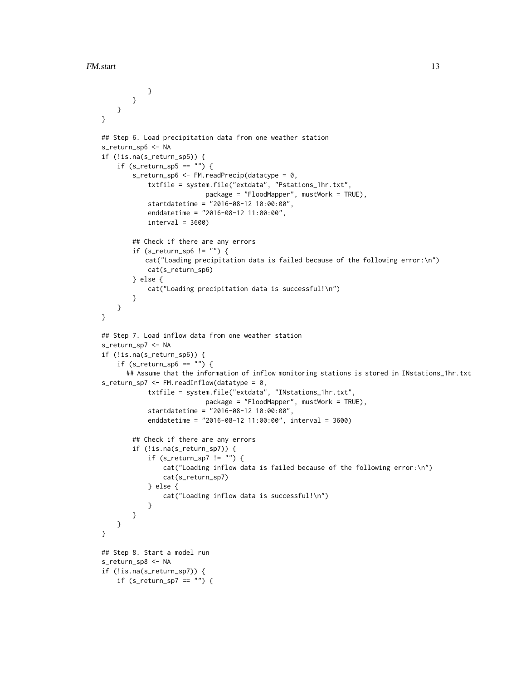```
}
       }
   }
}
## Step 6. Load precipitation data from one weather station
s_return_sp6 <- NA
if (!is.na(s_return_sp5)) {
    if (s_{return_sp5} == "") {
        s_return_sp6 <- FM.readPrecip(datatype = 0,
            txtfile = system.file("extdata", "Pstations_1hr.txt",
                           package = "FloodMapper", mustWork = TRUE),
            startdatetime = "2016-08-12 10:00:00",
            enddatetime = "2016-08-12 11:00:00",
            interval = 3600## Check if there are any errors
        if (s_return_sp6 != "") {
           cat("Loading precipitation data is failed because of the following error:\n")
            cat(s_return_sp6)
        } else {
            cat("Loading precipitation data is successful!\n")
        }
   }
}
## Step 7. Load inflow data from one weather station
s_return_sp7 <- NA
if (!is.na(s_return_sp6)) {
    if (s_{return_sp6 == "") {
      ## Assume that the information of inflow monitoring stations is stored in INstations_1hr.txt
s_return_sp7 <- FM.readInflow(datatype = 0,
            txtfile = system.file("extdata", "INstations_1hr.txt",
                           package = "FloodMapper", mustWork = TRUE),
            startdatetime = "2016-08-12 10:00:00",
            enddatetime = "2016-08-12 11:00:00", interval = 3600)
        ## Check if there are any errors
        if (!is.na(s_return_sp7)) {
            if (s_return_sp7 != "") {
                cat("Loading inflow data is failed because of the following error:\n")
                cat(s_return_sp7)
            } else {
                cat("Loading inflow data is successful!\n")
            }
        }
   }
}
## Step 8. Start a model run
s_return_sp8 <- NA
if (!is.na(s_return_sp7)) {
    if (s_{return_sp7} == "") {
```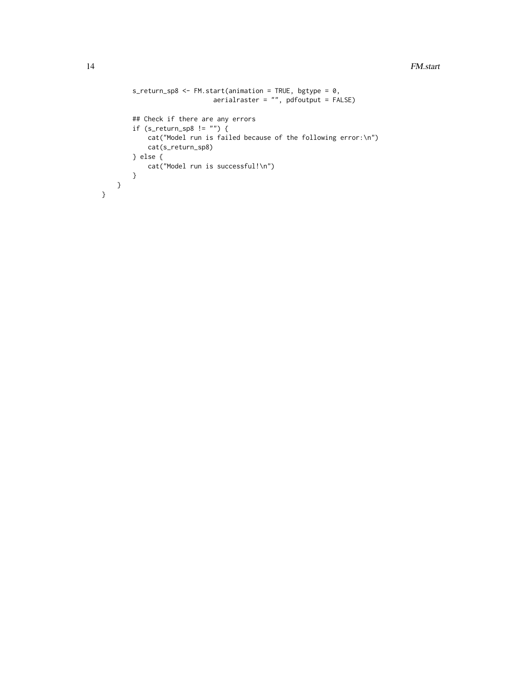```
s_return_sp8 <- FM.start(animation = TRUE, bgtype = 0,
                            \arcsin x = "", \text{ pdfoutput = FALSE}## Check if there are any errors
        if (s_{return_sp8} != "") {
            cat("Model run is failed because of the following error:\n")
            cat(s_return_sp8)
        } else {
            cat("Model run is successful!\n")
        }
   }
}
```